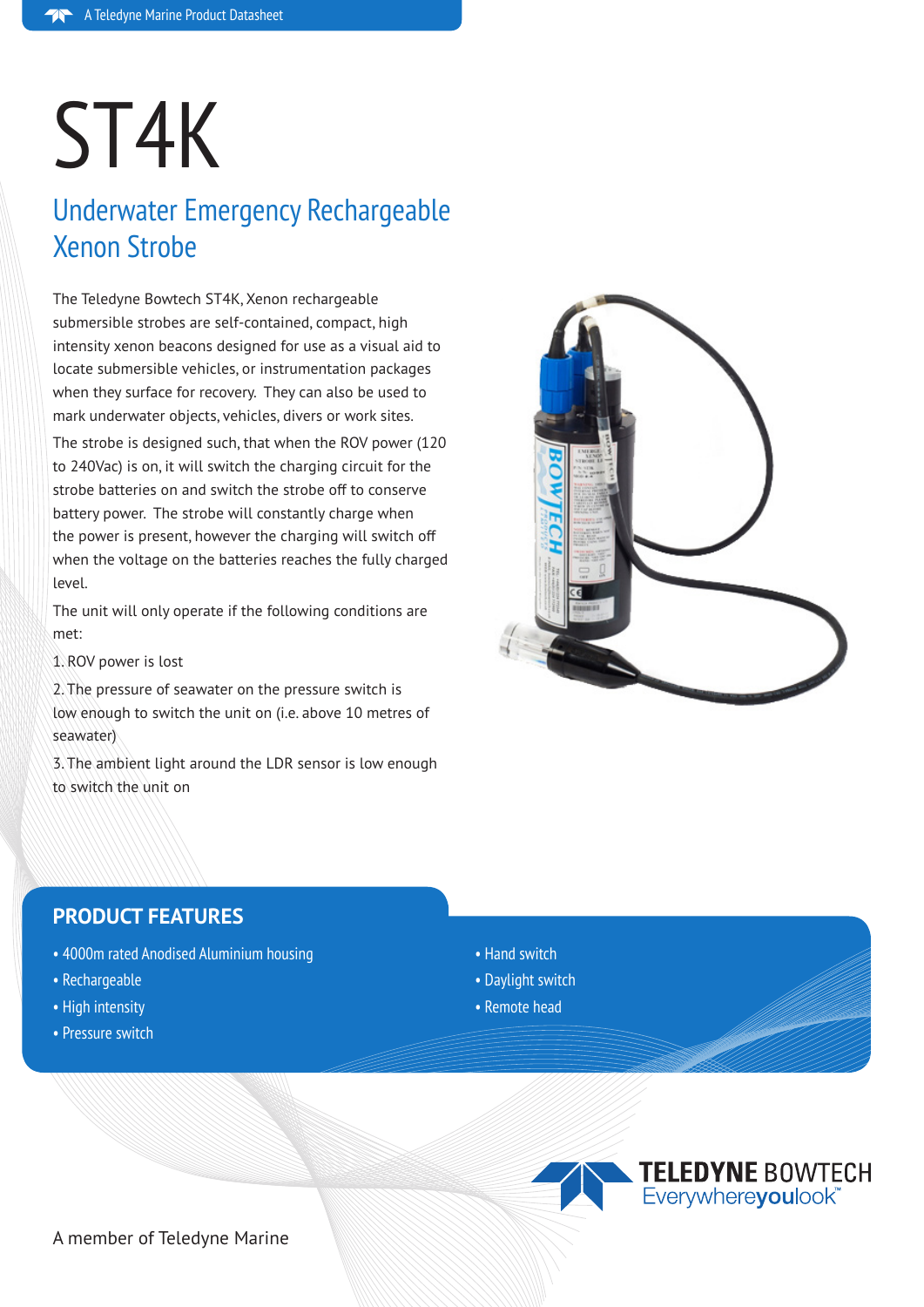# ST4K

# Underwater Emergency Rechargeable Xenon Strobe

The Teledyne Bowtech ST4K, Xenon rechargeable submersible strobes are self-contained, compact, high intensity xenon beacons designed for use as a visual aid to locate submersible vehicles, or instrumentation packages when they surface for recovery. They can also be used to mark underwater objects, vehicles, divers or work sites.

The strobe is designed such, that when the ROV power (120 to 240Vac) is on, it will switch the charging circuit for the strobe batteries on and switch the strobe off to conserve battery power. The strobe will constantly charge when the power is present, however the charging will switch off when the voltage on the batteries reaches the fully charged level.

The unit will only operate if the following conditions are met:

1. ROV power is lost

2. The pressure of seawater on the pressure switch is low enough to switch the unit on (i.e. above 10 metres of seawater)

3. The ambient light around the LDR sensor is low enough to switch the unit on



### **PRODUCT FEATURES**

- 4000m rated Anodised Aluminium housing
- Rechargeable
- High intensity
- Pressure switch
- Hand switch
- Daylight switch
- Remote head



TELEDYNE BOWTECH

A member of Teledyne Marine